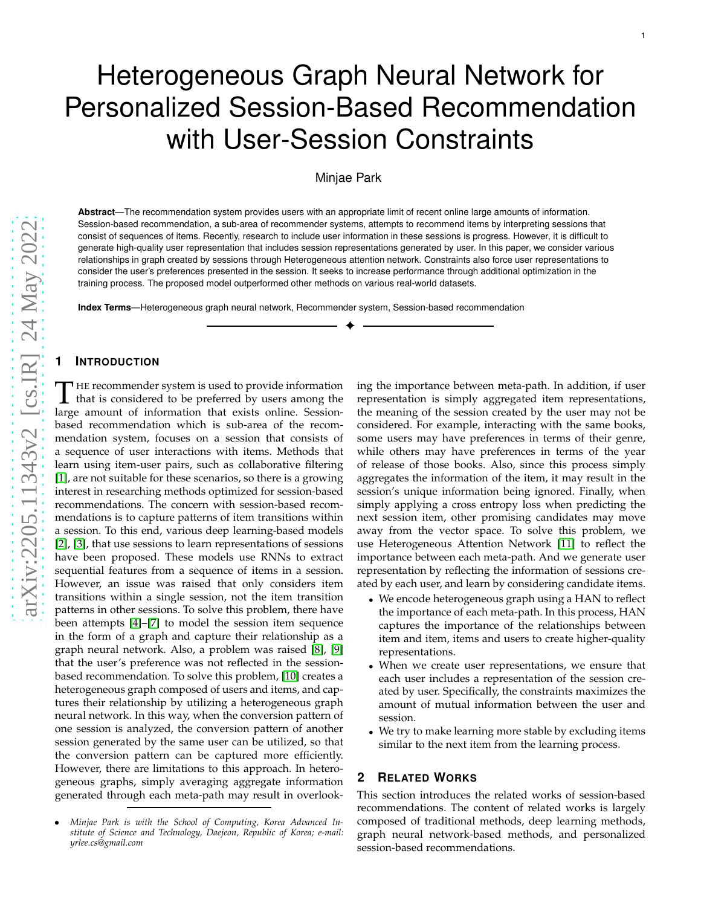# Heterogeneous Graph Neural Network for Personalized Session-Based Recommendation with User-Session Constraints

# Minjae Park

**Abstract**—The recommendation system provides users with an appropriate limit of recent online large amounts of information. Session-based recommendation, a sub-area of recommender systems, attempts to recommend items by interpreting sessions that consist of sequences of items. Recently, research to include user information in these sessions is progress. However, it is difficult to generate high-quality user representation that includes session representations generated by user. In this paper, we consider various relationships in graph created by sessions through Heterogeneous attention network. Constraints also force user representations to consider the user's preferences presented in the session. It seeks to increase performance through additional optimization in the training process. The proposed model outperformed other methods on various real-world datasets.

✦

**Index Terms**—Heterogeneous graph neural network, Recommender system, Session-based recommendation

## **1 INTRODUCTION**

THE recommender system is used to provide information that is considered to be preferred by users among the large amount of information that exists online. Session-HE recommender system is used to provide information that is considered to be preferred by users among the based recommendation which is sub-area of the recommendation system, focuses on a session that consists of a sequence of user interactions with items. Methods that learn using item-user pairs, such as collaborative filterin g [\[1\]](#page-3-0), are not suitable for these scenarios, so there is a growing interest in researching methods optimized for session-based recommendations. The concern with session-based recommendations is to capture patterns of item transitions within a session. To this end, various deep learning-based models [\[2\]](#page-3-1), [\[3\]](#page-3-2), that use sessions to learn representations of sessions have been proposed. These models use RNNs to extract sequential features from a sequence of items in a session. However, an issue was raised that only considers item transitions within a single session, not the item transitio n patterns in other sessions. To solve this problem, there hav e been attempts [\[4\]](#page-3-3)–[\[7\]](#page-4-0) to model the session item sequence in the form of a graph and capture their relationship as a graph neural network. Also, a problem was raised [\[8\]](#page-4-1), [\[9\]](#page-4-2) that the user's preference was not reflected in the sessionbased recommendation. To solve this problem, [\[10\]](#page-4-3) creates a heterogeneous graph composed of users and items, and captures their relationship by utilizing a heterogeneous graph neural network. In this way, when the conversion pattern of one session is analyzed, the conversion pattern of another session generated by the same user can be utilized, so that the conversion pattern can be captured more efficiently. However, there are limitations to this approach. In heterogeneous graphs, simply averaging aggregate information generated through each meta-path may result in overlooking the importance between meta-path. In addition, if user representation is simply aggregated item representations , the meaning of the session created by the user may not be considered. For example, interacting with the same books, some users may have preferences in terms of their genre, while others may have preferences in terms of the year of release of those books. Also, since this process simply aggregates the information of the item, it may result in the session's unique information being ignored. Finally, when simply applying a cross entropy loss when predicting the next session item, other promising candidates may move away from the vector space. To solve this problem, we use Heterogeneous Attention Network [\[11\]](#page-4-4) to reflect the importance between each meta-path. And we generate user representation by reflecting the information of sessions created by each user, and learn by considering candidate items.

- We encode heterogeneous graph using a HAN to reflect the importance of each meta-path. In this process, HAN captures the importance of the relationships between item and item, items and users to create higher-quality representations.
- When we create user representations, we ensure that each user includes a representation of the session created by user. Specifically, the constraints maximizes the amount of mutual information between the user and session.
- We try to make learning more stable by excluding items similar to the next item from the learning process.

# **2 RELATED WORKS**

This section introduces the related works of session-based recommendations. The content of related works is largely composed of traditional methods, deep learning methods, graph neural network-based methods, and personalized session-based recommendations.

<sup>•</sup> *Minjae Park is with the School of Computing, Korea Advanced Institute of Science and Technology, Daejeon, Republic of Korea; e-mail: yrlee.cs@gmail.com*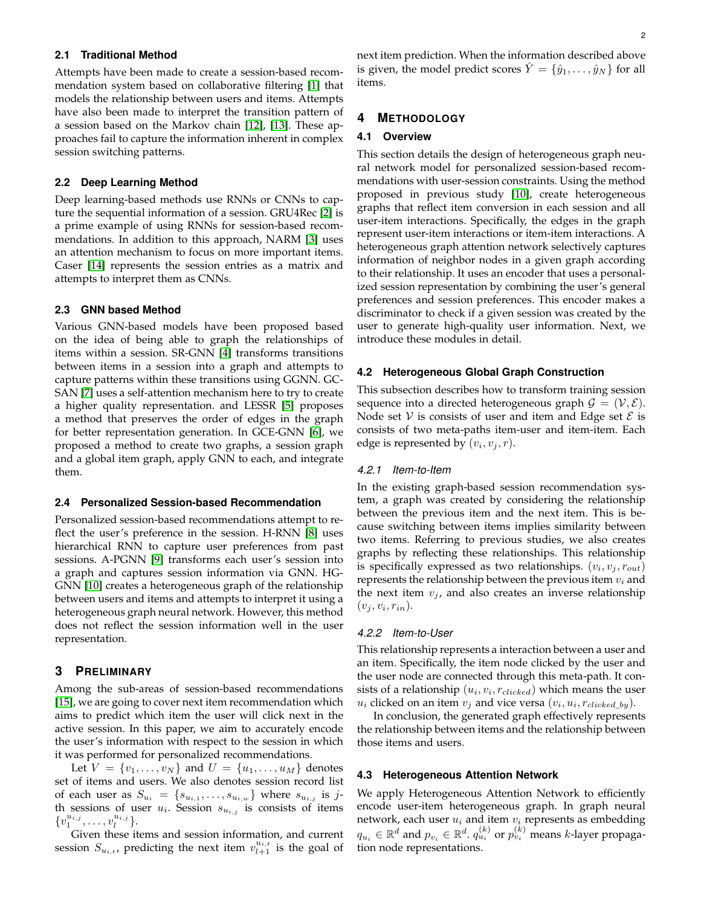## **2.1 Traditional Method**

Attempts have been made to create a session-based recommendation system based on collaborative filtering [\[1\]](#page-3-0) that models the relationship between users and items. Attempts have also been made to interpret the transition pattern of a session based on the Markov chain [\[12\]](#page-4-5), [\[13\]](#page-4-6). These approaches fail to capture the information inherent in complex session switching patterns.

#### **2.2 Deep Learning Method**

Deep learning-based methods use RNNs or CNNs to capture the sequential information of a session. GRU4Rec [\[2\]](#page-3-1) is a prime example of using RNNs for session-based recommendations. In addition to this approach, NARM [\[3\]](#page-3-2) uses an attention mechanism to focus on more important items. Caser [\[14\]](#page-4-7) represents the session entries as a matrix and attempts to interpret them as CNNs.

## **2.3 GNN based Method**

Various GNN-based models have been proposed based on the idea of being able to graph the relationships of items within a session. SR-GNN [\[4\]](#page-3-3) transforms transitions between items in a session into a graph and attempts to capture patterns within these transitions using GGNN. GC-SAN [\[7\]](#page-4-0) uses a self-attention mechanism here to try to create a higher quality representation. and LESSR [\[5\]](#page-3-4) proposes a method that preserves the order of edges in the graph for better representation generation. In GCE-GNN [\[6\]](#page-4-8), we proposed a method to create two graphs, a session graph and a global item graph, apply GNN to each, and integrate them.

#### **2.4 Personalized Session-based Recommendation**

Personalized session-based recommendations attempt to reflect the user's preference in the session. H-RNN [\[8\]](#page-4-1) uses hierarchical RNN to capture user preferences from past sessions. A-PGNN [\[9\]](#page-4-2) transforms each user's session into a graph and captures session information via GNN. HG-GNN [\[10\]](#page-4-3) creates a heterogeneous graph of the relationship between users and items and attempts to interpret it using a heterogeneous graph neural network. However, this method does not reflect the session information well in the user representation.

#### **3 PRELIMINARY**

Among the sub-areas of session-based recommendations [\[15\]](#page-4-9), we are going to cover next item recommendation which aims to predict which item the user will click next in the active session. In this paper, we aim to accurately encode the user's information with respect to the session in which it was performed for personalized recommendations.

Let  $V = \{v_1, \ldots, v_N\}$  and  $U = \{u_1, \ldots, u_M\}$  denotes set of items and users. We also denotes session record list of each user as  $S_{u_i} = \{s_{u_{i,1}}, \ldots, s_{u_{i,w}}\}$  where  $s_{u_{i,j}}$  is jth sessions of user  $u_i$ . Session  $s_{u_{i,j}}$  is consists of items  $\{v_1^{u_{i,j}}, \ldots, v_l^{u_{i,j}}\}.$ 

Given these items and session information, and current session  $S_{u_{i,t}}$ , predicting the next item  $v_{l+1}^{u_{i,t}}$  is the goal of

next item prediction. When the information described above is given, the model predict scores  $\hat{Y} = \{\hat{y}_1, \dots, \hat{y}_N\}$  for all items.

# **4 METHODOLOGY**

#### **4.1 Overview**

This section details the design of heterogeneous graph neural network model for personalized session-based recommendations with user-session constraints. Using the method proposed in previous study [\[10\]](#page-4-3), create heterogeneous graphs that reflect item conversion in each session and all user-item interactions. Specifically, the edges in the graph represent user-item interactions or item-item interactions. A heterogeneous graph attention network selectively captures information of neighbor nodes in a given graph according to their relationship. It uses an encoder that uses a personalized session representation by combining the user's general preferences and session preferences. This encoder makes a discriminator to check if a given session was created by the user to generate high-quality user information. Next, we introduce these modules in detail.

#### **4.2 Heterogeneous Global Graph Construction**

This subsection describes how to transform training session sequence into a directed heterogeneous graph  $\mathcal{G} = (\mathcal{V}, \mathcal{E})$ . Node set V is consists of user and item and Edge set  $\mathcal E$  is consists of two meta-paths item-user and item-item. Each edge is represented by  $(v_i, v_j, r)$ .

#### *4.2.1 Item-to-Item*

In the existing graph-based session recommendation system, a graph was created by considering the relationship between the previous item and the next item. This is because switching between items implies similarity between two items. Referring to previous studies, we also creates graphs by reflecting these relationships. This relationship is specifically expressed as two relationships.  $(v_i, v_j, r_{out})$ represents the relationship between the previous item  $v_i$  and the next item  $v_j$ , and also creates an inverse relationship  $(v_j, v_i, r_{in}).$ 

## *4.2.2 Item-to-User*

This relationship represents a interaction between a user and an item. Specifically, the item node clicked by the user and the user node are connected through this meta-path. It consists of a relationship  $(u_i, v_i, r_{clicked})$  which means the user  $u_i$  clicked on an item  $v_j$  and vice versa  $(v_i, u_i, r_{clicked\_by})$ .

In conclusion, the generated graph effectively represents the relationship between items and the relationship between those items and users.

#### **4.3 Heterogeneous Attention Network**

We apply Heterogeneous Attention Network to efficiently encode user-item heterogeneous graph. In graph neural network, each user  $u_i$  and item  $v_i$  represents as embedding  $q_{u_i} \in \mathbb{R}^d$  and  $p_{v_i} \in \mathbb{R}^d$ .  $q_{u_i}^{(k)}$  or  $p_{v_i}^{(k)}$  means  $k$ -layer propagation node representations.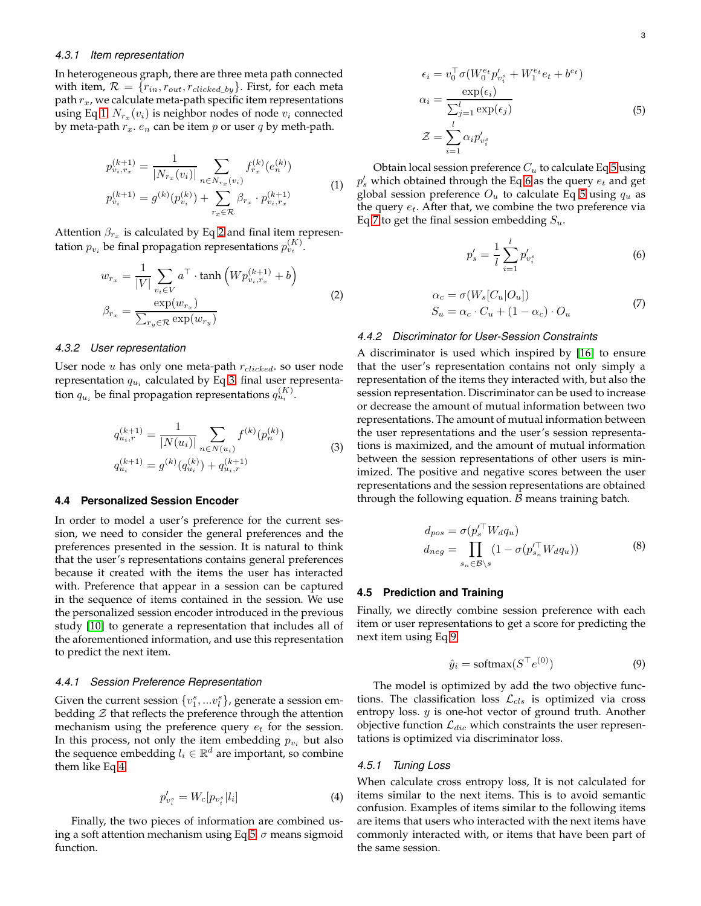### *4.3.1 Item representation*

In heterogeneous graph, there are three meta path connected with item,  $\mathcal{R} = \{r_{in}, r_{out}, r_{clicked\_by}\}\.$  First, for each meta path  $r_x$ , we calculate meta-path specific item representations using Eq [1.](#page-2-0)  $N_{r_x}(v_i)$  is neighbor nodes of node  $v_i$  connected by meta-path  $r_x$ .  $e_n$  can be item p or user q by meth-path.

$$
p_{v_i, r_x}^{(k+1)} = \frac{1}{|N_{r_x}(v_i)|} \sum_{n \in N_{r_x}(v_i)} f_{r_x}^{(k)}(e_n^{(k)})
$$
  

$$
p_{v_i}^{(k+1)} = g^{(k)}(p_{v_i}^{(k)}) + \sum_{r_x \in \mathcal{R}} \beta_{r_x} \cdot p_{v_i, r_x}^{(k+1)}
$$
 (1)

<span id="page-2-0"></span>Attention  $\beta_{r_x}$  is calculated by Eq [2](#page-2-1) and final item representation  $p_{v_i}$  be final propagation representations  $p_{v_i}^{(K)}$ .

$$
w_{r_x} = \frac{1}{|V|} \sum_{v_i \in V} a^{\top} \cdot \tanh\left(W p_{v_i, r_x}^{(k+1)} + b\right)
$$
  

$$
\beta_{r_x} = \frac{\exp(w_{r_x})}{\sum_{r_y \in \mathcal{R}} \exp(w_{r_y})}
$$
 (2)

## <span id="page-2-1"></span>*4.3.2 User representation*

User node  $u$  has only one meta-path  $r_{clicked}$ . so user node representation  $q_{u_i}$  calculated by Eq [3.](#page-2-2) final user representation  $q_{u_i}$  be final propagation representations  $q_{u_i}^{(K)}$ .

$$
q_{u_i,r}^{(k+1)} = \frac{1}{|N(u_i)|} \sum_{n \in N(u_i)} f^{(k)}(p_n^{(k)})
$$
  
\n
$$
q_{u_i}^{(k+1)} = g^{(k)}(q_{u_i}^{(k)}) + q_{u_i,r}^{(k+1)}
$$
\n(3)

#### <span id="page-2-2"></span>**4.4 Personalized Session Encoder**

In order to model a user's preference for the current session, we need to consider the general preferences and the preferences presented in the session. It is natural to think that the user's representations contains general preferences because it created with the items the user has interacted with. Preference that appear in a session can be captured in the sequence of items contained in the session. We use the personalized session encoder introduced in the previous study [\[10\]](#page-4-3) to generate a representation that includes all of the aforementioned information, and use this representation to predict the next item.

#### *4.4.1 Session Preference Representation*

Given the current session  $\{v^s_1,...v^s_l\}$ , generate a session embedding  $\mathcal Z$  that reflects the preference through the attention mechanism using the preference query  $e_t$  for the session. In this process, not only the item embedding  $p_{v_i}$  but also the sequence embedding  $l_i \in \mathbb{R}^d$  are important, so combine them like Eq [4.](#page-2-3)

<span id="page-2-3"></span>
$$
p'_{v_i^s} = W_c[p_{v_i^s}|l_i]
$$
 (4)

Finally, the two pieces of information are combined us-ing a soft attention mechanism using Eq [5.](#page-2-4)  $\sigma$  means sigmoid function.

$$
\epsilon_i = v_0^\top \sigma (W_0^{e_t} p'_{v_i^s} + W_1^{e_t} e_t + b^{e_t})
$$

$$
\alpha_i = \frac{\exp(\epsilon_i)}{\sum_{j=1}^l \exp(\epsilon_j)}
$$

$$
\mathcal{Z} = \sum_{i=1}^l \alpha_i p'_{v_i^s}
$$
(5)

<span id="page-2-4"></span>Obtain local session preference  $C_u$  to calculate Eq [5](#page-2-4) using  $p_s'$  which obtained through the Eq [6](#page-2-5) as the query  $e_t$  and get global session preference  $O_u$  to calculate Eq [5](#page-2-4) using  $q_u$  as the query  $e_t$ . After that, we combine the two preference via Eq [7](#page-2-6) to get the final session embedding  $S_u$ .

<span id="page-2-5"></span>
$$
p'_s = \frac{1}{l} \sum_{i=1}^l p'_{v_i^s} \tag{6}
$$

$$
\alpha_c = \sigma(W_s[C_u|O_u])
$$
  
\n
$$
S_u = \alpha_c \cdot C_u + (1 - \alpha_c) \cdot O_u
$$
\n(7)

### <span id="page-2-6"></span>*4.4.2 Discriminator for User-Session Constraints*

A discriminator is used which inspired by [\[16\]](#page-4-10) to ensure that the user's representation contains not only simply a representation of the items they interacted with, but also the session representation. Discriminator can be used to increase or decrease the amount of mutual information between two representations. The amount of mutual information between the user representations and the user's session representations is maximized, and the amount of mutual information between the session representations of other users is minimized. The positive and negative scores between the user representations and the session representations are obtained through the following equation.  $\beta$  means training batch.

$$
d_{pos} = \sigma(p_s'^\top W_d q_u)
$$
  
\n
$$
d_{neg} = \prod_{s_n \in \mathcal{B} \backslash s} (1 - \sigma(p_{s_n}'^\top W_d q_u))
$$
\n(8)

#### **4.5 Prediction and Training**

Finally, we directly combine session preference with each item or user representations to get a score for predicting the next item using Eq [9.](#page-2-7)

<span id="page-2-7"></span>
$$
\hat{y}_i = \text{softmax}(S^\top e^{(0)}) \tag{9}
$$

The model is optimized by add the two objective functions. The classification loss  $\mathcal{L}_{cls}$  is optimized via cross entropy loss.  $y$  is one-hot vector of ground truth. Another objective function  $\mathcal{L}_{dic}$  which constraints the user representations is optimized via discriminator loss.

#### *4.5.1 Tuning Loss*

When calculate cross entropy loss, It is not calculated for items similar to the next items. This is to avoid semantic confusion. Examples of items similar to the following items are items that users who interacted with the next items have commonly interacted with, or items that have been part of the same session.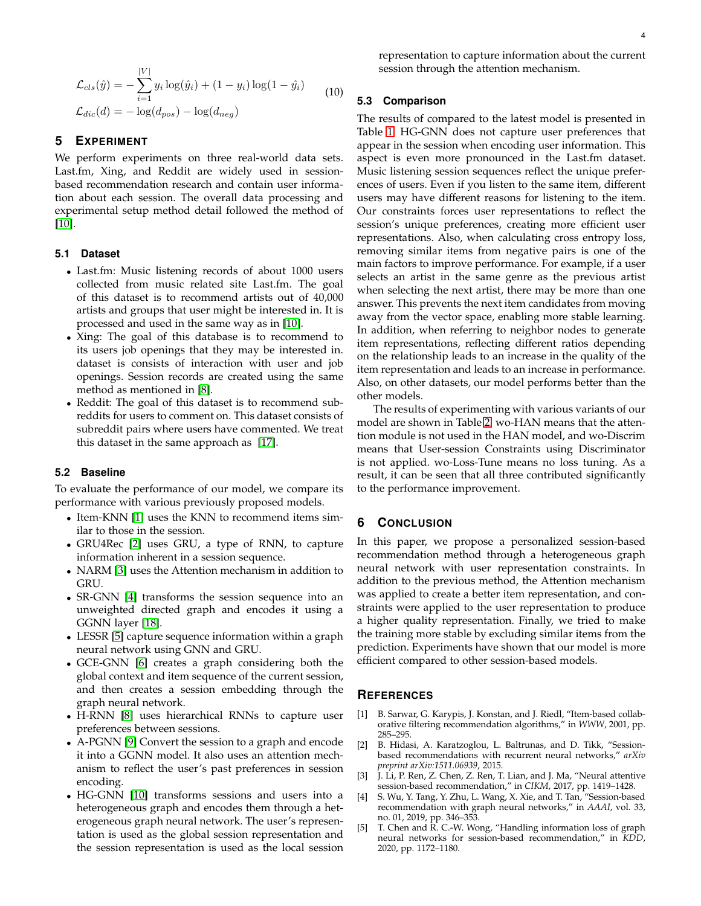$$
\mathcal{L}_{cls}(\hat{y}) = -\sum_{i=1}^{|V|} y_i \log(\hat{y}_i) + (1 - y_i) \log(1 - \hat{y}_i)
$$
  
\n
$$
\mathcal{L}_{dic}(d) = -\log(d_{pos}) - \log(d_{neg})
$$
\n(10)

# **5 EXPERIMENT**

We perform experiments on three real-world data sets. Last.fm, Xing, and Reddit are widely used in sessionbased recommendation research and contain user information about each session. The overall data processing and experimental setup method detail followed the method of [\[10\]](#page-4-3).

## **5.1 Dataset**

- Last.fm: Music listening records of about 1000 users collected from music related site Last.fm. The goal of this dataset is to recommend artists out of 40,000 artists and groups that user might be interested in. It is processed and used in the same way as in [\[10\]](#page-4-3).
- Xing: The goal of this database is to recommend to its users job openings that they may be interested in. dataset is consists of interaction with user and job openings. Session records are created using the same method as mentioned in [\[8\]](#page-4-1).
- Reddit: The goal of this dataset is to recommend subreddits for users to comment on. This dataset consists of subreddit pairs where users have commented. We treat this dataset in the same approach as [\[17\]](#page-4-11).

### **5.2 Baseline**

To evaluate the performance of our model, we compare its performance with various previously proposed models.

- Item-KNN [\[1\]](#page-3-0) uses the KNN to recommend items similar to those in the session.
- GRU4Rec [\[2\]](#page-3-1) uses GRU, a type of RNN, to capture information inherent in a session sequence.
- NARM [\[3\]](#page-3-2) uses the Attention mechanism in addition to GRU.
- SR-GNN [\[4\]](#page-3-3) transforms the session sequence into an unweighted directed graph and encodes it using a GGNN layer [\[18\]](#page-4-12).
- LESSR [\[5\]](#page-3-4) capture sequence information within a graph neural network using GNN and GRU.
- GCE-GNN [\[6\]](#page-4-8) creates a graph considering both the global context and item sequence of the current session, and then creates a session embedding through the graph neural network.
- H-RNN [\[8\]](#page-4-1) uses hierarchical RNNs to capture user preferences between sessions.
- A-PGNN [\[9\]](#page-4-2) Convert the session to a graph and encode it into a GGNN model. It also uses an attention mechanism to reflect the user's past preferences in session encoding.
- HG-GNN [\[10\]](#page-4-3) transforms sessions and users into a heterogeneous graph and encodes them through a heterogeneous graph neural network. The user's representation is used as the global session representation and the session representation is used as the local session

representation to capture information about the current session through the attention mechanism.

# **5.3 Comparison**

The results of compared to the latest model is presented in Table [1.](#page-4-13) HG-GNN does not capture user preferences that appear in the session when encoding user information. This aspect is even more pronounced in the Last.fm dataset. Music listening session sequences reflect the unique preferences of users. Even if you listen to the same item, different users may have different reasons for listening to the item. Our constraints forces user representations to reflect the session's unique preferences, creating more efficient user representations. Also, when calculating cross entropy loss, removing similar items from negative pairs is one of the main factors to improve performance. For example, if a user selects an artist in the same genre as the previous artist when selecting the next artist, there may be more than one answer. This prevents the next item candidates from moving away from the vector space, enabling more stable learning. In addition, when referring to neighbor nodes to generate item representations, reflecting different ratios depending on the relationship leads to an increase in the quality of the item representation and leads to an increase in performance. Also, on other datasets, our model performs better than the other models.

The results of experimenting with various variants of our model are shown in Table [2.](#page-4-14) wo-HAN means that the attention module is not used in the HAN model, and wo-Discrim means that User-session Constraints using Discriminator is not applied. wo-Loss-Tune means no loss tuning. As a result, it can be seen that all three contributed significantly to the performance improvement.

# **6 CONCLUSION**

In this paper, we propose a personalized session-based recommendation method through a heterogeneous graph neural network with user representation constraints. In addition to the previous method, the Attention mechanism was applied to create a better item representation, and constraints were applied to the user representation to produce a higher quality representation. Finally, we tried to make the training more stable by excluding similar items from the prediction. Experiments have shown that our model is more efficient compared to other session-based models.

# **REFERENCES**

- <span id="page-3-0"></span>[1] B. Sarwar, G. Karypis, J. Konstan, and J. Riedl, "Item-based collaborative filtering recommendation algorithms," in *WWW*, 2001, pp. 285–295.
- <span id="page-3-1"></span>[2] B. Hidasi, A. Karatzoglou, L. Baltrunas, and D. Tikk, "Sessionbased recommendations with recurrent neural networks," *arXiv preprint arXiv:1511.06939*, 2015.
- <span id="page-3-2"></span>[3] J. Li, P. Ren, Z. Chen, Z. Ren, T. Lian, and J. Ma, "Neural attentive session-based recommendation," in *CIKM*, 2017, pp. 1419–1428.
- <span id="page-3-3"></span>[4] S. Wu, Y. Tang, Y. Zhu, L. Wang, X. Xie, and T. Tan, "Session-based recommendation with graph neural networks," in *AAAI*, vol. 33, no. 01, 2019, pp. 346–353.
- <span id="page-3-4"></span>[5] T. Chen and R. C.-W. Wong, "Handling information loss of graph neural networks for session-based recommendation," in *KDD*, 2020, pp. 1172–1180.